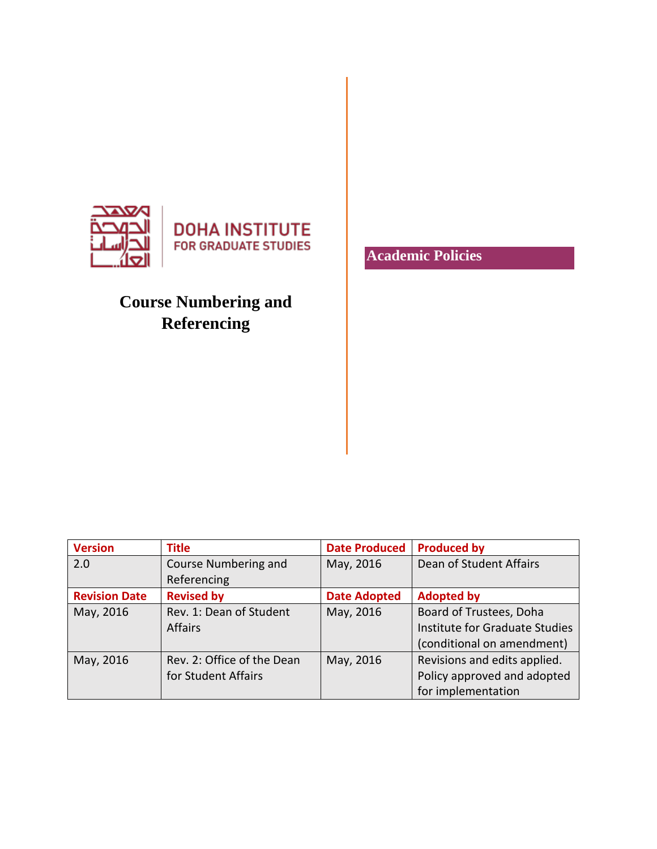

## **Course Numbering and Referencing**

**Version Title Date Produced Produced by** 2.0 Course Numbering and Referencing May, 2016 | Dean of Student Affairs **Revision Date Revised by Date Adopted Adopted by** May, 2016 Rev. 1: Dean of Student Affairs May, 2016 | Board of Trustees, Doha Institute for Graduate Studies (conditional on amendment) May, 2016 Rev. 2: Office of the Dean for Student Affairs May, 2016 Revisions and edits applied. Policy approved and adopted for implementation

**Academic Policies**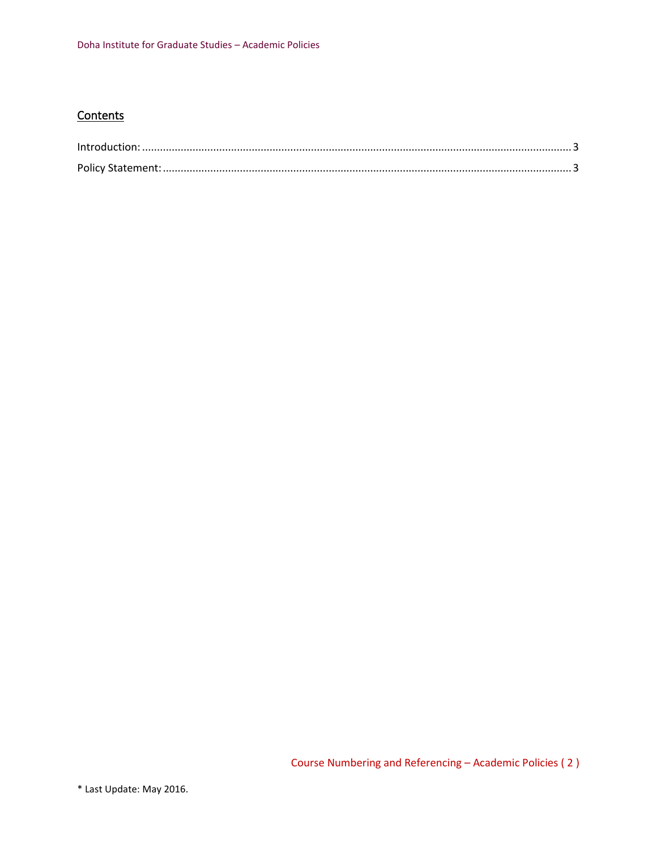## **Contents**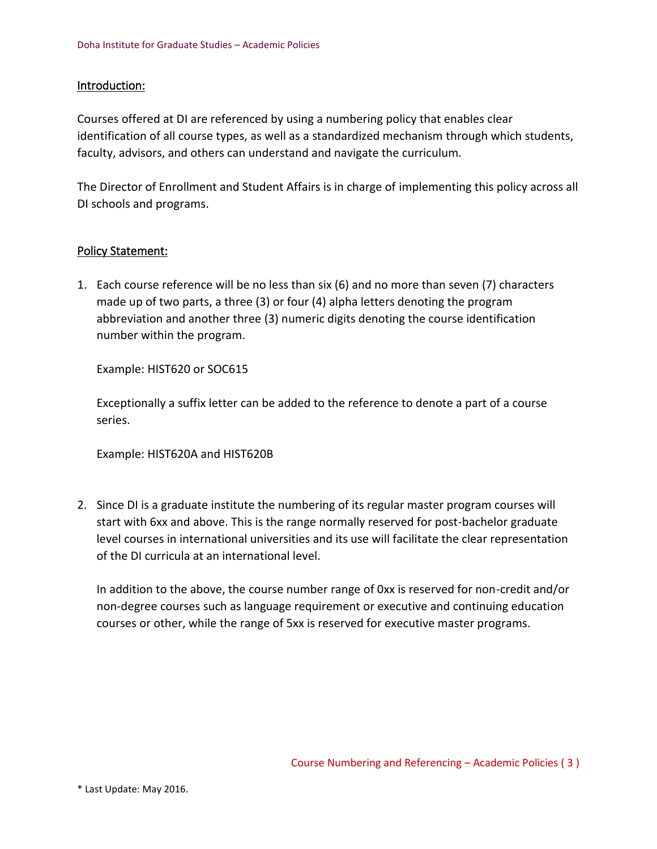## <span id="page-2-0"></span>Introduction:

Courses offered at DI are referenced by using a numbering policy that enables clear identification of all course types, as well as a standardized mechanism through which students, faculty, advisors, and others can understand and navigate the curriculum.

The Director of Enrollment and Student Affairs is in charge of implementing this policy across all DI schools and programs.

## <span id="page-2-1"></span>Policy Statement:

1. Each course reference will be no less than six (6) and no more than seven (7) characters made up of two parts, a three (3) or four (4) alpha letters denoting the program abbreviation and another three (3) numeric digits denoting the course identification number within the program.

Example: HIST620 or SOC615

Exceptionally a suffix letter can be added to the reference to denote a part of a course series.

Example: HIST620A and HIST620B

2. Since DI is a graduate institute the numbering of its regular master program courses will start with 6xx and above. This is the range normally reserved for post-bachelor graduate level courses in international universities and its use will facilitate the clear representation of the DI curricula at an international level.

In addition to the above, the course number range of 0xx is reserved for non-credit and/or non-degree courses such as language requirement or executive and continuing education courses or other, while the range of 5xx is reserved for executive master programs.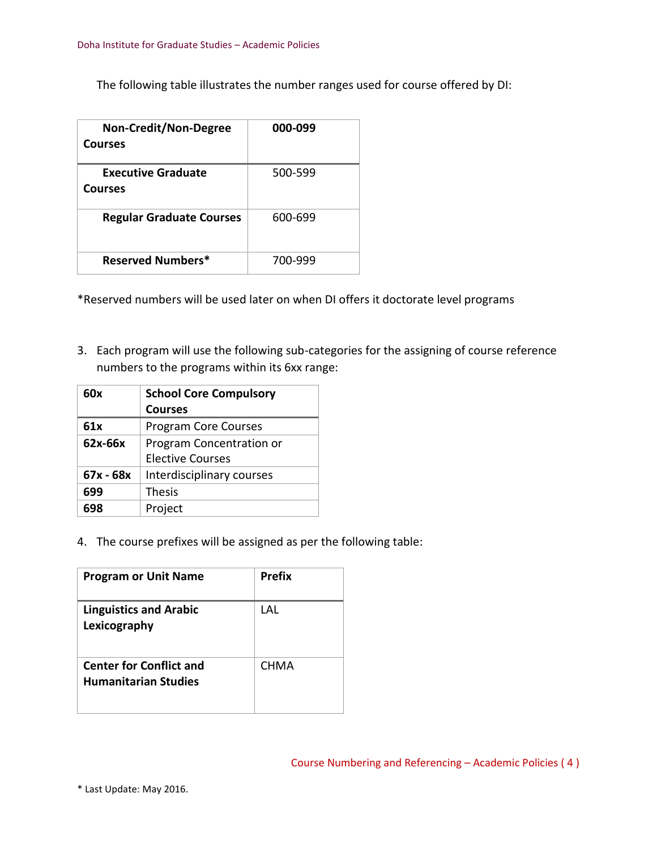The following table illustrates the number ranges used for course offered by DI:

| <b>Non-Credit/Non-Degree</b><br><b>Courses</b> | 000-099 |
|------------------------------------------------|---------|
| <b>Executive Graduate</b><br><b>Courses</b>    | 500-599 |
| <b>Regular Graduate Courses</b>                | 600-699 |
| Reserved Numbers*                              | 700-999 |

\*Reserved numbers will be used later on when DI offers it doctorate level programs

3. Each program will use the following sub-categories for the assigning of course reference numbers to the programs within its 6xx range:

| 60x       | <b>School Core Compulsory</b> |  |
|-----------|-------------------------------|--|
|           | <b>Courses</b>                |  |
| 61x       | <b>Program Core Courses</b>   |  |
| 62x-66x   | Program Concentration or      |  |
|           | Elective Courses              |  |
| 67x - 68x | Interdisciplinary courses     |  |
| 699       | <b>Thesis</b>                 |  |
| 698       | Project                       |  |

4. The course prefixes will be assigned as per the following table:

| <b>Program or Unit Name</b>                                   | Prefix |
|---------------------------------------------------------------|--------|
| <b>Linguistics and Arabic</b><br>Lexicography                 | I AI   |
| <b>Center for Conflict and</b><br><b>Humanitarian Studies</b> | CHMA   |